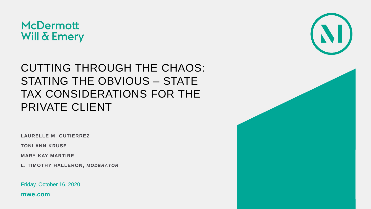

#### CUTTING THROUGH THE CHAOS: STATING THE OBVIOUS – STATE TAX CONSIDERATIONS FOR THE PRIVATE CLIENT

**LAURELLE M. GUTIERREZ**

**TONI ANN KRUSE**

**MARY KAY MARTIRE**

**L. TIMOTHY HALLERON,** *MODERATOR*

Friday, October 16, 2020

**mwe.com**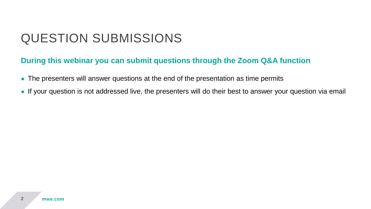#### QUESTION SUBMISSIONS

#### **During this webinar you can submit questions through the Zoom Q&A function**

- The presenters will answer questions at the end of the presentation as time permits
- If your question is not addressed live, the presenters will do their best to answer your question via email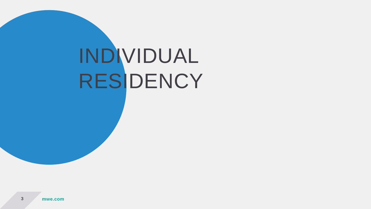# INDIVIDUAL RESIDENCY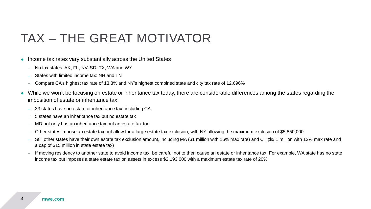#### TAX – THE GREAT MOTIVATOR

- Income tax rates vary substantially across the United States
	- No tax states: AK, FL, NV, SD, TX, WA and WY
	- States with limited income tax: NH and TN
	- Compare CA's highest tax rate of 13.3% and NY's highest combined state and city tax rate of 12.696%
- While we won't be focusing on estate or inheritance tax today, there are considerable differences among the states regarding the imposition of estate or inheritance tax
	- 33 states have no estate or inheritance tax, including CA
	- 5 states have an inheritance tax but no estate tax
	- MD not only has an inheritance tax but an estate tax too
	- Other states impose an estate tax but allow for a large estate tax exclusion, with NY allowing the maximum exclusion of \$5,850,000
	- Still other states have their own estate tax exclusion amount, including MA (\$1 million with 16% max rate) and CT (\$5.1 million with 12% max rate and a cap of \$15 million in state estate tax)
	- If moving residency to another state to avoid income tax, be careful not to then cause an estate or inheritance tax. For example, WA state has no state income tax but imposes a state estate tax on assets in excess \$2,193,000 with a maximum estate tax rate of 20%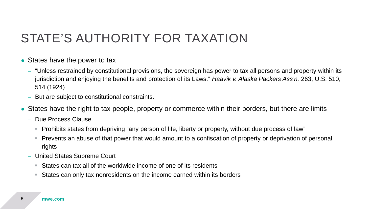#### STATE'S AUTHORITY FOR TAXATION

- States have the power to tax
	- "Unless restrained by constitutional provisions, the sovereign has power to tax all persons and property within its jurisdiction and enjoying the benefits and protection of its Laws." *Haavik v. Alaska Packers Ass'n.* 263, U.S. 510, 514 (1924)
	- But are subject to constitutional constraints.
- States have the right to tax people, property or commerce within their borders, but there are limits
	- Due Process Clause
		- **Prohibits states from depriving "any person of life, liberty or property, without due process of law"**
		- Prevents an abuse of that power that would amount to a confiscation of property or deprivation of personal rights
	- United States Supreme Court
		- States can tax all of the worldwide income of one of its residents
		- States can only tax nonresidents on the income earned within its borders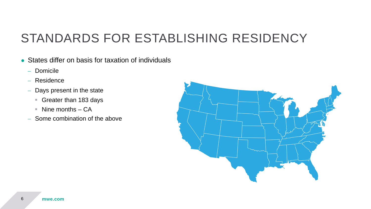### STANDARDS FOR ESTABLISHING RESIDENCY

- States differ on basis for taxation of individuals
	- Domicile
	- Residence
	- Days present in the state
		- Greater than 183 days
		- $\blacksquare$  Nine months CA
	- Some combination of the above

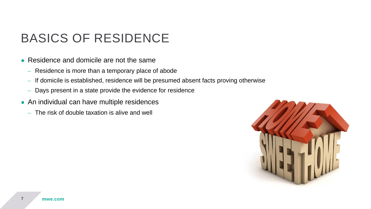### BASICS OF RESIDENCE

- Residence and domicile are not the same
	- Residence is more than a temporary place of abode
	- If domicile is established, residence will be presumed absent facts proving otherwise
	- Days present in a state provide the evidence for residence
- An individual can have multiple residences
	- The risk of double taxation is alive and well

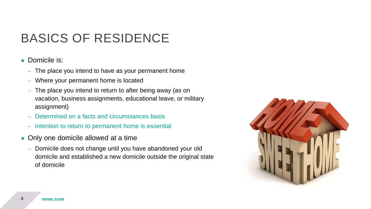### BASICS OF RESIDENCE

#### • Domicile is:

- The place you intend to have as your permanent home
- Where your permanent home is located
- The place you intend to return to after being away (as on vacation, business assignments, educational leave, or military assignment)
- Determined on a facts and circumstances basis
- Intention to return to permanent home is essential
- Only one domicile allowed at a time
	- Domicile does not change until you have abandoned your old domicile and established a new domicile outside the original state of domicile

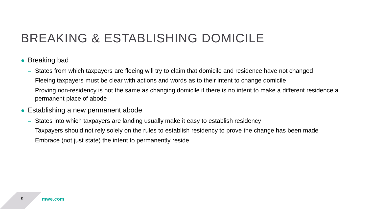### BREAKING & ESTABLISHING DOMICILE

- Breaking bad
	- States from which taxpayers are fleeing will try to claim that domicile and residence have not changed
	- Fleeing taxpayers must be clear with actions and words as to their intent to change domicile
	- Proving non-residency is not the same as changing domicile if there is no intent to make a different residence a permanent place of abode
- Establishing a new permanent abode
	- States into which taxpayers are landing usually make it easy to establish residency
	- Taxpayers should not rely solely on the rules to establish residency to prove the change has been made
	- Embrace (not just state) the intent to permanently reside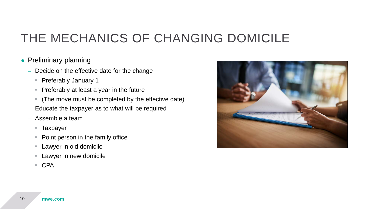#### • Preliminary planning

- Decide on the effective date for the change
	- **Preferably January 1**
	- **Preferably at least a year in the future**
	- (The move must be completed by the effective date)
- Educate the taxpayer as to what will be required
- Assemble a team
	- Taxpayer
	- Point person in the family office
	- **Lawyer in old domicile**
	- **Lawyer in new domicile**
	- CPA

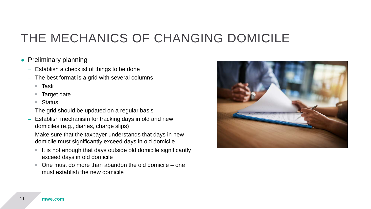- Preliminary planning
	- Establish a checklist of things to be done
	- The best format is a grid with several columns
		- $\blacksquare$  Task
		- Target date
		- Status
	- The grid should be updated on a regular basis
	- Establish mechanism for tracking days in old and new domiciles (e.g., diaries, charge slips)
	- Make sure that the taxpayer understands that days in new domicile must significantly exceed days in old domicile
		- $\blacksquare$  It is not enough that days outside old domicile significantly exceed days in old domicile
		- One must do more than abandon the old domicile one must establish the new domicile

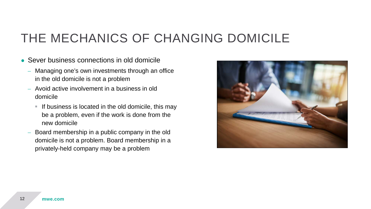- Sever business connections in old domicile
	- Managing one's own investments through an office in the old domicile is not a problem
	- Avoid active involvement in a business in old domicile
		- If business is located in the old domicile, this may be a problem, even if the work is done from the new domicile
	- Board membership in a public company in the old domicile is not a problem. Board membership in a privately-held company may be a problem

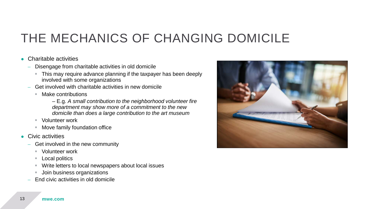#### ● Charitable activities

- Disengage from charitable activities in old domicile
	- **This may require advance planning if the taxpayer has been deeply** involved with some organizations
- Get involved with charitable activities in new domicile
	- Make contributions
		- E.g. *A small contribution to the neighborhood volunteer fire department may show more of a commitment to the new domicile than does a large contribution to the art museum*
	- Volunteer work
	- **Move family foundation office**
- **Civic activities** 
	- Get involved in the new community
		- Volunteer work
		- Local politics
		- Write letters to local newspapers about local issues
		- **Join business organizations**
	- End civic activities in old domicile

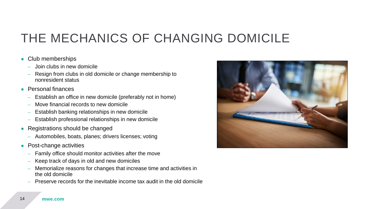#### • Club memberships

- Join clubs in new domicile
- Resign from clubs in old domicile or change membership to nonresident status
- Personal finances
	- Establish an office in new domicile (preferably not in home)
	- Move financial records to new domicile
	- Establish banking relationships in new domicile
	- Establish professional relationships in new domicile
- Registrations should be changed
	- Automobiles, boats, planes; drivers licenses; voting
- Post-change activities
	- Family office should monitor activities after the move
	- Keep track of days in old and new domiciles
	- Memorialize reasons for changes that increase time and activities in the old domicile
	- Preserve records for the inevitable income tax audit in the old domicile

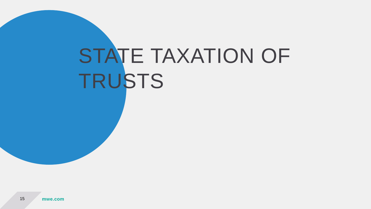## STATE TAXATION OF TRUSTS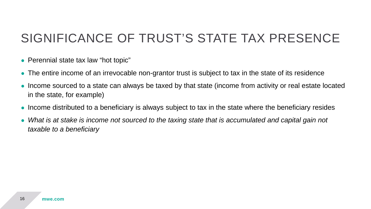### SIGNIFICANCE OF TRUST'S STATE TAX PRESENCE

- Perennial state tax law "hot topic"
- The entire income of an irrevocable non-grantor trust is subject to tax in the state of its residence
- Income sourced to a state can always be taxed by that state (income from activity or real estate located in the state, for example)
- Income distributed to a beneficiary is always subject to tax in the state where the beneficiary resides
- What is at stake is income not sourced to the taxing state that is accumulated and capital gain not *taxable to a beneficiary*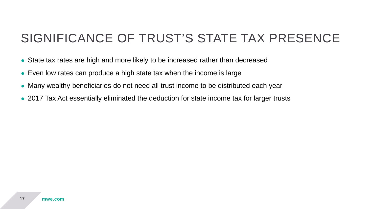#### SIGNIFICANCE OF TRUST'S STATE TAX PRESENCE

- State tax rates are high and more likely to be increased rather than decreased
- Even low rates can produce a high state tax when the income is large
- Many wealthy beneficiaries do not need all trust income to be distributed each year
- 2017 Tax Act essentially eliminated the deduction for state income tax for larger trusts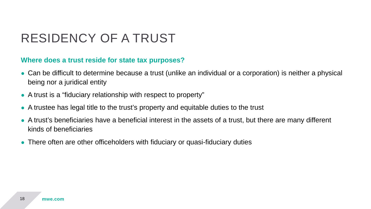### RESIDENCY OF A TRUST

#### **Where does a trust reside for state tax purposes?**

- Can be difficult to determine because a trust (unlike an individual or a corporation) is neither a physical being nor a juridical entity
- A trust is a "fiduciary relationship with respect to property"
- A trustee has legal title to the trust's property and equitable duties to the trust
- A trust's beneficiaries have a beneficial interest in the assets of a trust, but there are many different kinds of beneficiaries
- There often are other officeholders with fiduciary or quasi-fiduciary duties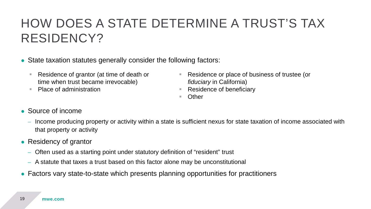### HOW DOES A STATE DETERMINE A TRUST'S TAX RESIDENCY?

- State taxation statutes generally consider the following factors:
	- Residence of grantor (at time of death or time when trust became irrevocable)
	- Place of administration
- Residence or place of business of trustee (or *fiduciary* in California)
- Residence of beneficiary
- Other

- Source of income
	- Income producing property or activity within a state is sufficient nexus for state taxation of income associated with that property or activity
- Residency of grantor
	- Often used as a starting point under statutory definition of "resident" trust
	- A statute that taxes a trust based on this factor alone may be unconstitutional
- Factors vary state-to-state which presents planning opportunities for practitioners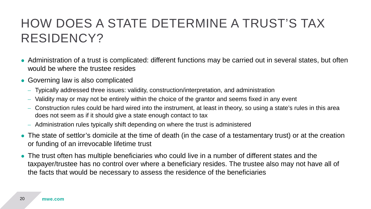### HOW DOES A STATE DETERMINE A TRUST'S TAX RESIDENCY?

- Administration of a trust is complicated: different functions may be carried out in several states, but often would be where the trustee resides
- Governing law is also complicated
	- Typically addressed three issues: validity, construction/interpretation, and administration
	- Validity may or may not be entirely within the choice of the grantor and seems fixed in any event
	- Construction rules could be hard wired into the instrument, at least in theory, so using a state's rules in this area does not seem as if it should give a state enough contact to tax
	- Administration rules typically shift depending on where the trust is administered
- The state of settlor's domicile at the time of death (in the case of a testamentary trust) or at the creation or funding of an irrevocable lifetime trust
- The trust often has multiple beneficiaries who could live in a number of different states and the taxpayer/trustee has no control over where a beneficiary resides. The trustee also may not have all of the facts that would be necessary to assess the residence of the beneficiaries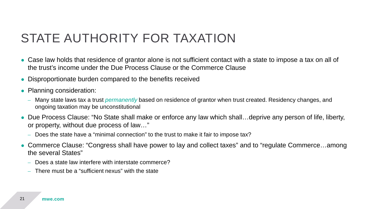### STATE AUTHORITY FOR TAXATION

- Case law holds that residence of grantor alone is not sufficient contact with a state to impose a tax on all of the trust's income under the Due Process Clause or the Commerce Clause
- Disproportionate burden compared to the benefits received
- Planning consideration:
	- Many state laws tax a trust *permanently* based on residence of grantor when trust created. Residency changes, and ongoing taxation may be unconstitutional
- Due Process Clause: "No State shall make or enforce any law which shall…deprive any person of life, liberty, or property, without due process of law…"
	- Does the state have a "minimal connection" to the trust to make it fair to impose tax?
- Commerce Clause: "Congress shall have power to lay and collect taxes" and to "regulate Commerce…among the several States"
	- Does a state law interfere with interstate commerce?
	- There must be a "sufficient nexus" with the state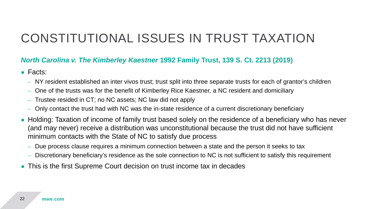#### *North Carolina v. The Kimberley Kaestner* **1992 Family Trust, 139 S. Ct. 2213 (2019)**

- Facts:
	- NY resident established an inter vivos trust; trust split into three separate trusts for each of grantor's children
	- One of the trusts was for the benefit of Kimberley Rice Kaestner, a NC resident and domiciliary
	- Trustee resided in CT; no NC assets; NC law did not apply
	- Only contact the trust had with NC was the in-state residence of a current discretionary beneficiary
- Holding: Taxation of income of family trust based solely on the residence of a beneficiary who has never (and may never) receive a distribution was unconstitutional because the trust did not have sufficient minimum contacts with the State of NC to satisfy due process
	- Due process clause requires a minimum connection between a state and the person it seeks to tax
	- Discretionary beneficiary's residence as the sole connection to NC is not sufficient to satisfy this requirement
- This is the first Supreme Court decision on trust income tax in decades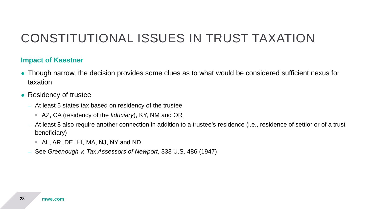#### **Impact of Kaestner**

- Though narrow, the decision provides some clues as to what would be considered sufficient nexus for taxation
- Residency of trustee
	- At least 5 states tax based on residency of the trustee
		- AZ, CA (residency of the *fiduciary*), KY, NM and OR
	- At least 8 also require another connection in addition to a trustee's residence (i.e., residence of settlor or of a trust beneficiary)
		- AL, AR, DE, HI, MA, NJ, NY and ND
	- See *Greenough v. Tax Assessors of Newport*, 333 U.S. 486 (1947)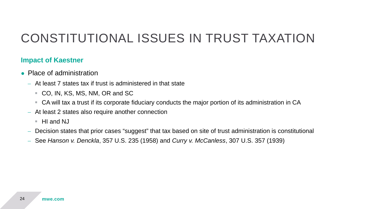#### **Impact of Kaestner**

- Place of administration
	- At least 7 states tax if trust is administered in that state
		- CO, IN, KS, MS, NM, OR and SC
		- CA will tax a trust if its corporate fiduciary conducts the major portion of its administration in CA
	- At least 2 states also require another connection
		- $H$  and NJ
	- Decision states that prior cases "suggest" that tax based on site of trust administration is constitutional
	- See *Hanson v. Denckla*, 357 U.S. 235 (1958) and *Curry v. McCanless*, 307 U.S. 357 (1939)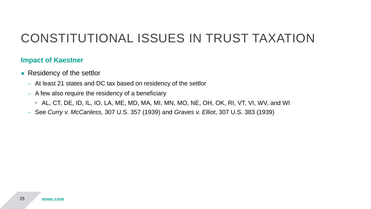#### **Impact of Kaestner**

- Residency of the settlor
	- At least 21 states and DC tax based on residency of the settlor
	- A few also require the residency of a beneficiary
		- AL, CT, DE, ID, IL, IO, LA, ME, MD, MA, MI, MN, MO, NE, OH, OK, RI, VT, VI, WV, and WI
	- See *Curry v. McCanless,* 307 U.S. 357 (1939) and *Graves v. Elliot*, 307 U.S. 383 (1939)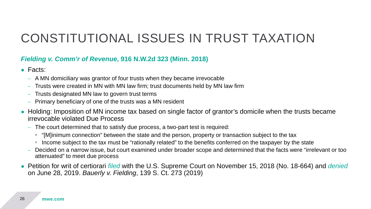#### *Fielding v. Comm'r of Revenue***, 916 N.W.2d 323 (Minn. 2018)**

- Facts:
	- A MN domiciliary was grantor of four trusts when they became irrevocable
	- Trusts were created in MN with MN law firm; trust documents held by MN law firm
	- Trusts designated MN law to govern trust terms
	- Primary beneficiary of one of the trusts was a MN resident
- Holding: Imposition of MN income tax based on single factor of grantor's domicile when the trusts became irrevocable violated Due Process
	- The court determined that to satisfy due process, a two-part test is required:
		- "[M]inimum connection" between the state and the person, property or transaction subject to the tax
		- Income subject to the tax must be "rationally related" to the benefits conferred on the taxpayer by the state
	- Decided on a narrow issue, but court examined under broader scope and determined that the facts were "irrelevant or too attenuated" to meet due process
- Petition for writ of certiorari *filed* with the U.S. Supreme Court on November 15, 2018 (No. 18-664) and *denied* on June 28, 2019. *Bauerly v. Fielding*, 139 S. Ct. 273 (2019)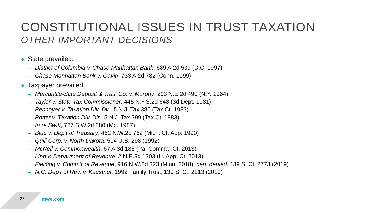#### CONSTITUTIONAL ISSUES IN TRUST TAXATION *OTHER IMPORTANT DECISIONS*

- State prevailed:
	- *District of Columbia v. Chase Manhattan Bank*, 689 A.2d 539 (D.C. 1997)
	- *Chase Manhattan Bank v. Gavin*, 733 A.2d 782 (Conn. 1999)
- Taxpayer prevailed:
	- *Mercantile-Safe Deposit & Trust Co. v. Murphy*, 203 N.E.2d 490 (N.Y. 1964)
	- *Taylor v. State Tax Commissioner*, 445 N.Y.S.2d 648 (3d Dept. 1981)
	- *Pennoyer v. Taxation Div. Dir.,* 5 N.J. Tax 386 (Tax Ct. 1983)
	- *Potter v. Taxation Div. Dir.*, 5 N.J. Tax 399 (Tax Ct. 1983)
	- *In re Swift*, 727 S.W.2d 880 (Mo. 1987)
	- *Blue v. Dep't of Treasury*, 462 N.W.2d 762 (Mich. Ct. App. 1990)
	- *Quill Corp. v. North Dakota*, 504 U.S. 298 (1992)
	- *McNeil v. Commonwealth*, 67 A.3d 185 (Pa. Commw. Ct. 2013)
	- *Linn v. Department of Revenue*, 2 N.E.3d 1203 (Ill. App. Ct. 2013)
	- *Fielding v. Comm'r of Revenue*, 916 N.W.2d 323 (Minn. 2018), *cert. denied*, 139 S. Ct. 2773 (2019)
	- *N.C. Dep't of Rev. v. Kaestner,* 1992 Family Trust, 139 S. Ct. 2213 (2019)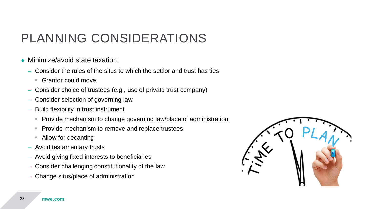### PLANNING CONSIDERATIONS

- Minimize/avoid state taxation:
	- Consider the rules of the situs to which the settlor and trust has ties
		- Grantor could move
	- Consider choice of trustees (e.g., use of private trust company)
	- Consider selection of governing law
	- Build flexibility in trust instrument
		- **Provide mechanism to change governing law/place of administration**
		- **Provide mechanism to remove and replace trustees**
		- Allow for decanting
	- Avoid testamentary trusts
	- Avoid giving fixed interests to beneficiaries
	- Consider challenging constitutionality of the law
	- Change situs/place of administration

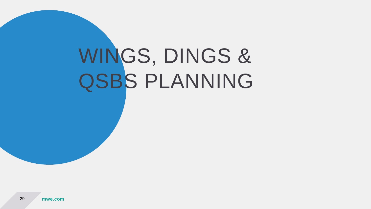## WINGS, DINGS & QSBS PLANNING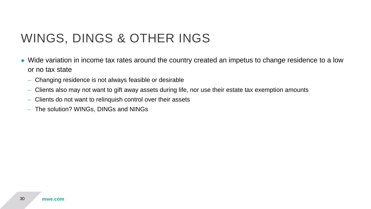### WINGS, DINGS & OTHER INGS

- Wide variation in income tax rates around the country created an impetus to change residence to a low or no tax state
	- Changing residence is not always feasible or desirable
	- Clients also may not want to gift away assets during life, nor use their estate tax exemption amounts
	- Clients do not want to relinquish control over their assets
	- The solution? WINGs, DINGs and NINGs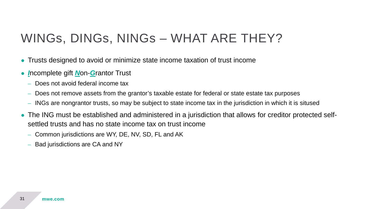#### WINGs, DINGs, NINGs – WHAT ARE THEY?

- Trusts designed to avoid or minimize state income taxation of trust income
- *I*ncomplete gift *N*on-*G*rantor Trust
	- Does not avoid federal income tax
	- Does not remove assets from the grantor's taxable estate for federal or state estate tax purposes
	- INGs are nongrantor trusts, so may be subject to state income tax in the jurisdiction in which it is sitused
- The ING must be established and administered in a jurisdiction that allows for creditor protected selfsettled trusts and has no state income tax on trust income
	- Common jurisdictions are WY, DE, NV, SD, FL and AK
	- Bad jurisdictions are CA and NY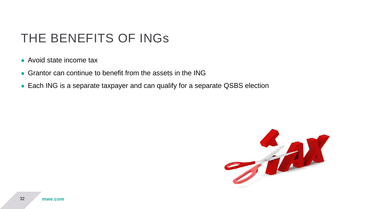#### THE BENEFITS OF INGs

- Avoid state income tax
- Grantor can continue to benefit from the assets in the ING
- Each ING is a separate taxpayer and can qualify for a separate QSBS election

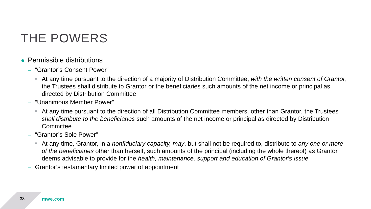#### THE POWERS

- Permissible distributions
	- "Grantor's Consent Power"
		- At any time pursuant to the direction of a majority of Distribution Committee, *with the written consent of Grantor*, the Trustees shall distribute to Grantor or the beneficiaries such amounts of the net income or principal as directed by Distribution Committee
	- "Unanimous Member Power"
		- At any time pursuant to the direction of all Distribution Committee members, other than Grantor, the Trustees *shall distribute to the beneficiaries* such amounts of the net income or principal as directed by Distribution **Committee**
	- "Grantor's Sole Power"
		- At any time, Grantor, in a *nonfiduciary capacity, may*, but shall not be required to, distribute to *any one or more of the beneficiaries* other than herself, such amounts of the principal (including the whole thereof) as Grantor deems advisable to provide for the *health, maintenance, support and education of Grantor's issue*
	- Grantor's testamentary limited power of appointment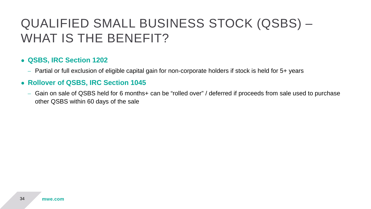### QUALIFIED SMALL BUSINESS STOCK (QSBS) – WHAT IS THE BENEFIT?

#### ● **QSBS, IRC Section 1202**

– Partial or full exclusion of eligible capital gain for non-corporate holders if stock is held for 5+ years

#### ● **Rollover of QSBS, IRC Section 1045**

– Gain on sale of QSBS held for 6 months+ can be "rolled over" / deferred if proceeds from sale used to purchase other QSBS within 60 days of the sale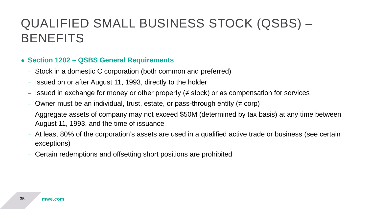### QUALIFIED SMALL BUSINESS STOCK (QSBS) – BENEFITS

#### ● **Section 1202 – QSBS General Requirements**

- Stock in a domestic C corporation (both common and preferred)
- Issued on or after August 11, 1993, directly to the holder
- Issued in exchange for money or other property ( $\neq$  stock) or as compensation for services
- Owner must be an individual, trust, estate, or pass-through entity ( $\neq$  corp)
- Aggregate assets of company may not exceed \$50M (determined by tax basis) at any time between August 11, 1993, and the time of issuance
- At least 80% of the corporation's assets are used in a qualified active trade or business (see certain exceptions)
- Certain redemptions and offsetting short positions are prohibited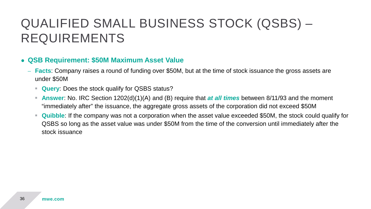### QUALIFIED SMALL BUSINESS STOCK (QSBS) – REQUIREMENTS

#### ● **QSB Requirement: \$50M Maximum Asset Value**

- **Facts**: Company raises a round of funding over \$50M, but at the time of stock issuance the gross assets are under \$50M
	- **Query**: Does the stock qualify for QSBS status?
	- **Answer**: No. IRC Section 1202(d)(1)(A) and (B) require that *at all times* between 8/11/93 and the moment "immediately after" the issuance, the aggregate gross assets of the corporation did not exceed \$50M
	- **Quibble**: If the company was not a corporation when the asset value exceeded \$50M, the stock could qualify for QSBS so long as the asset value was under \$50M from the time of the conversion until immediately after the stock issuance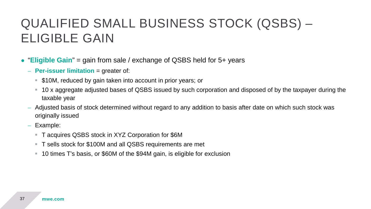### QUALIFIED SMALL BUSINESS STOCK (QSBS) – ELIGIBLE GAIN

- $\bullet$ "**Eligible Gain**" = gain from sale / exchange of QSBS held for 5+ years
	- **Per-issuer limitation** = greater of:
		- \$10M, reduced by gain taken into account in prior years; or
		- 10 x aggregate adjusted bases of QSBS issued by such corporation and disposed of by the taxpayer during the taxable year
	- Adjusted basis of stock determined without regard to any addition to basis after date on which such stock was originally issued
	- Example:
		- T acquires QSBS stock in XYZ Corporation for \$6M
		- T sells stock for \$100M and all QSBS requirements are met
		- 10 times T's basis, or \$60M of the \$94M gain, is eligible for exclusion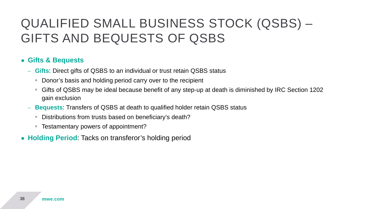### QUALIFIED SMALL BUSINESS STOCK (QSBS) – GIFTS AND BEQUESTS OF QSBS

#### ● **Gifts & Bequests**

- **Gifts**: Direct gifts of QSBS to an individual or trust retain QSBS status
	- **Donor's basis and holding period carry over to the recipient**
	- Gifts of QSBS may be ideal because benefit of any step-up at death is diminished by IRC Section 1202 gain exclusion
- **Bequests**: Transfers of QSBS at death to qualified holder retain QSBS status
	- Distributions from trusts based on beneficiary's death?
	- Testamentary powers of appointment?
- **Holding Period**: Tacks on transferor's holding period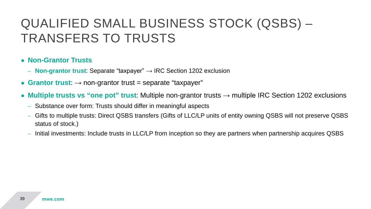### QUALIFIED SMALL BUSINESS STOCK (QSBS) – TRANSFERS TO TRUSTS

#### ● **Non-Grantor Trusts**

- **Non-grantor trust**: Separate "taxpayer" → IRC Section 1202 exclusion
- $\bullet$  **Grantor trust**:  $\rightarrow$  non-grantor trust = separate "taxpayer"
- **Multiple trusts vs "one pot" trust**: Multiple non-grantor trusts → multiple IRC Section 1202 exclusions
	- Substance over form: Trusts should differ in meaningful aspects
	- Gifts to multiple trusts: Direct QSBS transfers (Gifts of LLC/LP units of entity owning QSBS will not preserve QSBS status of stock.)
	- Initial investments: Include trusts in LLC/LP from inception so they are partners when partnership acquires QSBS